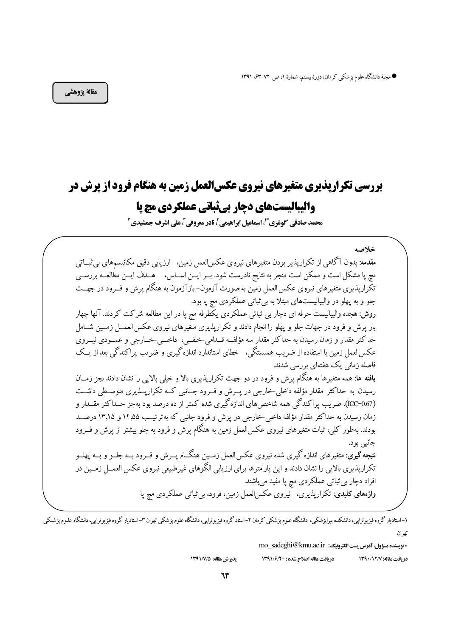● مجلة دانشگاه علوم پزشکی کرمان، دورهٔ بیستم، شمارهٔ ۱، ص ۷۲–۶۳، ۱۳۹۱

مقالة يژوهشي

# **بررسی تکراریذیری متغیرهای نیروی عکسالعمل زمین به هنگام فرود از پرش در** واليباليستهاي دچار بيڤباتي عملكردي مچ يا

محمد صادقے گوغری ؓ '، اسماعیل ابراهیمے ِ ، نادر معروفے ِ ، علی اشرف جمشیدی ِ ۖ

خلاصه مقدمه: بدون آگاهی از تکراریذیر بودن متغیرهای نیروی عکسالعمل زمین، ارزیابی دقیق مکانیسمهای پی ثبــاتی مچ پا مشکل است و ممکن است منجر به نتایج نادرست شود. بــر ایــن اســاس، هــدف ایــن مطالعــه بررســی تکّراریذیری متغیرهای نیروی عکس العمل زمّین به صورت آزمون- بازآزمون به هنگام پرش و فــرود در جهــت جلو و به پهلو در واليباليستهاي مبتلا به بي ثباتي عملكردي مچ يا بود. روش: هجده والیبالیست حرفه ای دچار بی ثباتی عملکردی یکطرفه مچ پا در این مطالعه شرکت کردند. آنها چهار بار پرش و فرود در جهات جلو و پهلو را انجام دادند و تکراریذیری متغیرهای نیروی عکس العمــل زمــین شــامل حداکثر مقدار و زمان رسیدن به حداکثر مقدار سه مؤلف قــدامی خلفــی، داخلــی خــارجی و عمــودی نیــروی عکسالعمل زمین با استفاده از ضریب همبستگی، خطای استاندارد اندازه گیری و ضریب پراکندگی بعد از یــک فاصله زمانی یک هفتهای بررسی شدند. **یافته ها**: همه متغیرها به هنگام پرش و فرود در دو جهت تکراریذیری بالا و خیلم بالایی را نشان دادند بجز زمــان رسیدن به حداکثر مقدار مؤلفه داخلی-خارجی در پــرش و فــرود جــانبی کــه تکرارپــذیری متوســطی داشــت (ICC=0.67). ضريب پراکندگي همه شاخص هاي اندازه گيري شده کمتر از ده درصد بود بهجز حــداکثر مقــدار و زمان رسیدن به حداکثر مقدار مؤلفه داخلی خارجی در پرش و فرود جانبی که بهترتیـب ۱۴٫۵۵ و ۱۳٫۱۵ درصــد بودند. بهطور کلی، ثبات متغیرهای نیروی عکس|لعمل زمین به هنگام پرش و فرود به جلو بیشتر از پرش و فــرود جانبي بو د. **نتیجه گیری**: متغیرهای اندازه گیری شده نیروی عکس العمل زمــین هنگــام پــرش و فــرود بــه جلــو و بــه یهلــو تکرارپذیری بالایی را نشان دادند و این پارامترها برای ارزیابی الگوهای غیرطبیعی نیروی عکس العمــل زمــین در افراد دچار بي ثباتي عملكردي مڃ يا مفيد مي باشند. واژههای کلیدی: تکراریذیری، نیروی عکس|لعمل زمین، فرود، بی ثباتی عملکردی میچ یا

۱–استادیار گروه فیزیوتراپی، دانشکده پیرایزشکی، دانشگاه علوم یزشکی کرمان ۲–استاد گروه فیزیوتیا ساز گروه استادیار گروه فیزیوتراپی، دانشگاه علوم یزشکی تھ ان

\* نويسنده مسؤول، آدرس پست الكترونيك: mo\_sadeghi@kmu.ac.ir

در بافت مقاله اصلاح شده: ١٣٩١/٦٠ در يافت مقاله: ١٣٩٠/١٢٨

يذيرش مقاله: ١٣٩١/٧/٥ ٦٣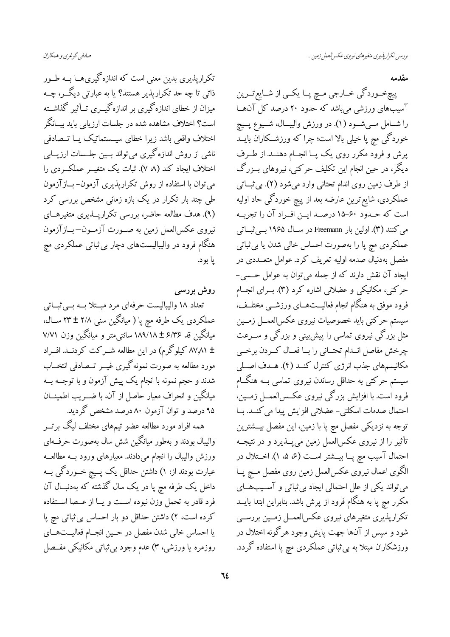تکراریذیری بدین معنی است که اندازه گیری هــا بــه طــور ذاتی تا چه حد تکرارپذیر هستند؟ یا به عبارتی دیگـــر، چـــه میزان از خطای اندازهگیری بر اندازهگیـــری تـــأثیر گذاشـــته است؟ اختلاف مشاهده شده در جلسات ارزیابی باید بیــانگر اختلاف واقعی باشد زیرا خطای سیــستماتیک یــا تــصادفی ناشی از روش اندازه گیری می تواند بسین جلسات ارزیسایی اختلاف ایجاد کند (۸ ۷). ثبات یک متغیــر عملکــردی را میتوان با استفاده از روش تکرارپذیری آزمون- بــازآزمون طی چند بار تکرار در یک بازه زمانی مشخص بررسی کرد (۹). هدف مطالعه حاضر، بررسی تکرارپــذیری متغیرهــای نیروی عکسالعمل زمین به صـورت آزمـون–بـازآزمون هنگام فرود در والیبالیستهای دچار بی ثباتی عملکردی مچ يا بود.

روش بررسی تعداد ۱۸ والیبالیست حرفهای مرد مبستلا بــه بــی ثبــاتی عملکردی یک طرفه مچ پا ( میانگین سن<sub>ی</sub> ۲/۸ ± ۲۳ ســال، میانگین قد ۶/۳۶ ± ۱۸۹/۱۸ سانتی متر و میانگین وزن ۷/۷۱ ± ۸۷٫۸۱ کیلوگرم) در این مطالعه شــرکت کردنــد. افــراد مورد مطالعه به صورت نمونه گیری غیــر تــصادفی انتخــاب شدند و حجم نمونه با انجام یک پیش آزمون و با توجــه بــه میانگین و انحراف معیار حاصل از آن، با ضــریب اطمینــان ۹۵ درصد و توان آزمون ۸۰ درصد مشخص گردید.

همه افراد مورد مطالعه عضو تیمهای مختلف لیگ برتــر والیبال بودند و بهطور میانگین شش سال بهصورت حرف1ای ورزش والیبال را انجام میدادند. معیارهای ورود بــه مطالعــه عبارت بودند از: ۱) داشتن حداقل یک پــیچ خــوردگی بــه داخل یک طرفه مچ پا در یک سال گذشته که بهدنبــال آن فرد قادر به تحمل وزن نبوده اسـت و يــا از عــصا اســتفاده کرده است، ۲) داشتن حداقل دو بار احساس بی ثباتی مچ پا یا احساس خالی شدن مفصل در حــین انجــام فعالیـــتھــای روزمره یا ورزشی، ۳) عدم وجود بی ثباتی مکانیکی مفـصل مقدمه

پیچخـوردگي خــارجي مــچ پــا يکــي از شــايع تــرين آسیب های ورزشی میباشد که حدود ۲۰ درصد کل آن هـا را شــامل مــيشــود (١). در ورزش واليبـــال، شـــيوع پـــيچ خوردگی مچ پا خیلی بالا است؛ چرا که ورزشــکارانّ بایــد پرش و فرود مکرر روی یک پــا انجــام دهنــد. از طــرف دیگر، در حین انجام این تکلیف حرکتی، نیروهای بــزرگ از طرف زمین روی اندام تحتانی وارد میشود (۲). بی ثبــاتی عملکردی، شایع ترین عارضه بعد از پیچ خوردگی حاد اولیه است که حـدوّد ۶۰-۱۵ درصـد ایــن افــراد آن را تجربــه می کنند (۳). اولین بار Freemann در سـال ۱۹۶۵ بــی ثبــاتی عملکردی مچ پا را بهصورت احساس خالی شدن یا بی ثباتی مفصل بهدنبال صدمه اولیه تعریف کرد. عوامل متعــددی در ایجاد آن نقش دارند که از جمله می توان به عوامل حــسی-حرکتی، مکانیکی و عضلانی اشاره کرد (۳). بــرای انجــام فرود موفق به هنگام انجام فعالیـــتهـــای ورزشـــی مختلــف، سیستم حرکتی باید خصوصیات نیروی عکسالعمــل زمــین مثل بزرگی نیروی تماسی را پیش بینی و بزرگی و ســرعت چرخش مفاصل انمدام تحتماني را بما فعمال كسردن برخمي مکانیسمهای جذب انرژی کنترل کنــد (۴). هــدف اصــلی سیستم حرکتی به حداقل رساندن نیروی تماسی بــه هنگــام فرود است. با افزایش بزرگی نیروی عکــسالعمــل زمــین، احتمال صدمات اسکلتی- عضلانی افزایش پیدا می کنــد. بــا توجه به نزدیکی مفصل مچ پا با زمین، این مفصل بیـــشترین تأثیر را از نیروی عکسالعمل زمین می پـــذیرد و در نتیجـــه احتمال آسیب مچ پــا بیـــشتر اســت (ع ۵، ۱). اخـــتلال در الگوی اعمال نیروی عکسالعمل زمین روی مفصل مسچ پــا می تواند یکی از علل احتمالی ایجاد بی ثباتی و آســیبهــای مکرر مچ پا به هنگام فرود از پرش باشد. بنابراین ابتدا بایــد تکرارپذیری متغیرهای نیروی عکس|لعمــل زمــین بررســی شود و سپس از آنها جهت پایش وجود هرگونه اختلال در ورزشکاران مبتلا به بی ثباتی عملکردی مچ پا استفاده گردد.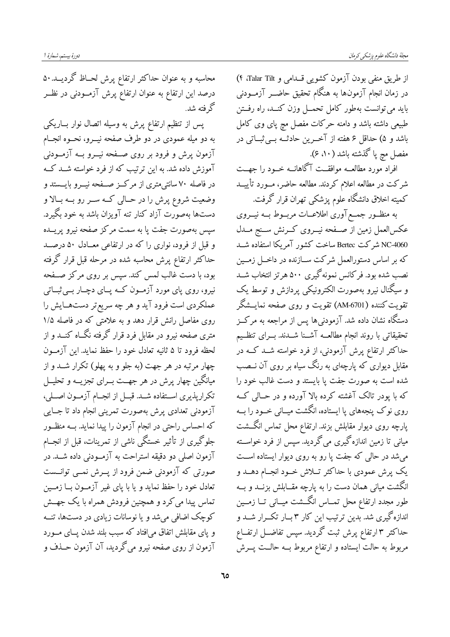از طریق منفی بودن آزمون کشویی قــدامی و Talar Tilt) ۴) در زمان انجام آزمونها به هنگام تحقیق حاضــر آزمــودنی باید می توانست بهطور کامل تحمــل وزن کنــد، راه رفــتن طبیعی داشته باشد و دامنه حرکات مفصل مچ پای وی کامل باشد و ۵) حداقل ۶ هفته از آخــرین حادثــه بــیثبــاتی در مفصل مچ پا گذشته باشد ( ۵۰ ع).

افراد مورد مطالعــه موافقــت آگاهانــه خــود را جهــت شرکت در مطالعه اعلام کردند. مطالعه حاضر، مــورد تأییـــد كميته اخلاق دانشگاه علوم پزشكى تهران قرار گرفت.

به منظــور جمــع آوری اطلاعــات مربــوط بــه نيـــروی عكسالعمل زمين از صفحه نيــروى كــرنش ســنج مــدل NC-4060 شركت Bertec ساخت كشور آمريكا استفاده شــد که بر اساس دستورالعمل شرکت ســازنده در داخــل زمــين نصب شده بود. فرکانس نمونهگیری ۵۰۰ هرتز انتخاب شــد و سیگنال نیرو بهصورت الکترونیکی پردازش و توسط یک تقویت کننده (AM-6701) تقویت و روی صفحه نمایــشگر دستگاه نشان داده شد. آزمودنی ها پس از مراجعه به مرکــز تحقيقاتي با روند انجام مطالعــه آشــنا شــدند. بــراي تنظــيم حداکثر ارتفاع پرش آزمودنی، از فرد خواسته شــد کــه در مقابل دیواری که پارچهای به رنگ سیاه بر روی آن نــصب شده است به صورت جفت پا بایستد و دست غالب خود را که با یودر تالک آغشته کرده بالا آورده و در حــالی کــه روی نوک پنجههای پا ایستاده، انگشت میــانی خــود را بــه پارچه روی دیوار مقابلش بزند. ارتفاع محل تماس انگـــشت میانی تا زمین اندازه گیری می گردید. سپس از فرد خواســته می شد در حالی که جفت یا رو به روی دیوار ایستاده است یک پرش عمودی با حداکثر تــلاش خــود انجــام دهــد و انگشت میانی همان دست را به پارچه مقــابلش بزنــد و بــه طور مجدد ارتفاع محل تمــاس انگـــشت ميــانى تــا زمــين اندازهگیری شد. بدین ترتیب این کار ۳ بــار تکــرار شــد و حداکثر ۳ ارتفاع پرش ثبت گردید. سپس تفاضــل ارتفــاع مربوط به حالت ایستاده و ارتفاع مربوط بــه حالــت پـــرش

محاسبه و به عنوان حداکثر ارتفاع پرش لحــاظ گردیـــد. ۵۰ درصد این ارتفاع به عنوان ارتفاع پرش آزمــودنی در نظــر گرفته شد.

پس از تنظیم ارتفاع پرش به وسیله اتصال نوار بــاریکی به دو میله عمودی در دو طرف صفحه نیـــرو، نحـــوه انجـــام آزمون پرش و فرود بر روی صـفحه نیــرو بــه آزمــودنی آموزش داده شد. به این ترتیب که از فرد خواسته شــد کــه در فاصله ۷۰ سانتی،متری از مرکــز صــفحه نیــرو بایــستد و وضعیت شروع پرش را در حـالی کــه ســر رو بــه بــالا و دستها بهصوّرت آزاد کنار تنه آویزان باشد به خود بگیرد. سپس بهصورت جفت پا به سمت مرکز صفحه نیرو پریــده و قبل از فرود، نواری را که در ارتفاعی معــادل ۵۰ درصــد حداکثر ارتفاع پرش محاسبه شده در مرحله قبل قرار گرفته بود، با دست غالب لمس کند. سپس بر روی مرکز صـفحه نیرو، روی پای مورد آزمــون کــه پــای دچــار بــیثبــاتی عملکردی است فرود آید و هر چه سریع تر دستهـایش را روی مفاصل رانش قرار دهد و به علامتی که در فاصله ۱/۵ متری صفحه نیرو در مقابل فرد قرار گرفته نگــاه کنــد و از لحظه فرود تا ۵ ثانیه تعادل خود را حفظ نماید. این آزمـون چهار مرتبه در هر جهت (به جلو و به یهلو) تکرار شــد و از میانگین چهار پرش در هر جهــت بــرای تجزیــه و تحلیــل تكرارپذيري اســتفاده شــد. قبــل از انجــام آزمــون اصــلي، آزمودنی تعدادی پرش بهصورت تمرینی انجام داد تا جــایی که احساس راحتی در انجام آزمون را پیدا نماید. بــه منظــور جلوگیری از تأثیر خستگی ناشی از تمرینات، قبل از انجــام .<br>آزمون اصلی دو دقیقه استراحت به آزمــودنی داده شــد. در صورتی که آزمودنی ضمن فرود از پــرش نمــی توانــست تعادل خود را حفظ نماید و یا با پای غیر آزمـون بــا زمــین تماس پیدا می کرد و همچنین فرودش همراه با یک جهــش کوچک اضافی می شد و یا نوسانات زیادی در دستها، تنــه و پای مقابلش اتفاق میافتاد که سبب بلند شدن پــای مــورد آزمون از روی صفحه نیرو میگردید، آن آزمون حــذف و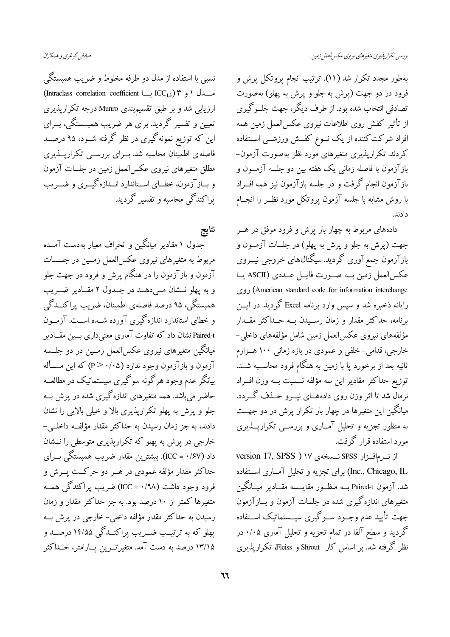بهطور مجدد تکرار شد (۱۱). ترتیب انجام پروتکل پرش و فرود در دو جهت (پرش به جلو و پرش به پهلو) بهصورت تصادفی انتخاب شده بود. از طرف دیگر، جهت جلــوگیری از تأثیر کفش روی اطلاعات نیروی عکسالعمل زمین همه افراد شرکت کننده از یک نــوع کفــش ورزشــی اســتفاده کردند. تکراریذیری متغیرهای مورد نظر بهصورت آزمون-بازآزمون با فاصله زمانی یک هفته بین دو جلسه آزمــون و بازآزمون انجام گرفت و در جلسه بازآزمون نیز همه افــراد با روش مشابه با جلسه آزمون پروتکل مورد نظـر را انجــام دادند

دادههای مربوط به چهار بار پرش و فرود موفق در هــر جهت (پرش به جلو و پرش به پهلو) در جلسات آزمــون و بازآزمون جمع آوری گردید. سیگنال های خروجی نیـــروی عكس العمل زمين بــه صــورت فايــل عــددى (ASCII يــا (American standard code for information interchange) روى رایانه ذخیره شد و سپس وارد برنامه Excel گردید. در ایسن برنامه، حداکثر مقدار و زمان رسـیدن بــه حــداکثر مقــدار مؤلفههاي نيروي عكس|لعمل زمين شامل مؤلفههاي داخلي− خارجی، قدامی- خلفی و عمودی در بازه زمانی ۱۰۰ هــزارم ثانیه بعد از برخورد پا با زمین به هنگام فرود محاســبه شــد. توزیع حداکثر مقادیر این سه مؤلفه نــسبت بــه وزن افــراد نرمال شد تا اثر وزن روی دادههــای نیـــرو حـــذف گـــردد. میانگین این متغیرها در چهار بار تکرار پرش در دو جهــت به منظور تجزیه و تحلیل آمـاری و بررســی تکراریـــذیری مورد استفاده قرار گرفت.

از نرمافزار SPSS نـسخهى ١٧ ( version 17, SPSS Inc., Chicago, IL) برای تجزیه و تحلیل آمــاری اســتفاده شد. آزمون Paired-t بــه منظــور مقايـــسه مقــادير ميــانگين متغیرهای اندازه گیری شده در جلسات آزمون و بــازآزمون جهت تأييد عدم وجـود سـوگيري سيــستماتيک اســتفاده گردید و سطح آلفا در تمام تجزیه و تحلیل آماری ۰/۰۵ در نظر گرفته شد. بر اساس کار Shrout و Fleiss، تکراریذیری

نسبي با استفاده از مدل دو طرفه مخلوط و ضريب همبستگي (Intraclass correlation coefficient یا ICC<sub>1,3</sub>) مسدل ۱ و ۳ ارزیابی شد و بر طبق تقسیمبندی Munro درجه تکرارپذیری تعیین و تفسیر گردید. برای هر ضریب همبــستگی، بــرای این که توزیع نمونهگیری در نظر گرفته شــود، ۹۵ درصــد فاصلهی اطمینان محاسبه شد. بــرای بررســی تکراریـــذیری مطلق متغیرهای نیروی عکسالعمل زمین در جلسات آزمون و بسازآزمون، خطسای اسستاندارد انسدازه گیسری و ضسریب یراکندگی محاسبه و تفسیر گردید.

نتايج

جدول ۱ مقادیر میانگین و انحراف معیار بهدست آمــده مربوط به متغیرهای نیروی عکسالعمل زمــین در جلــسات آزمون و بازآزمون را در هنگام پرش و فرود در جهت جلو و به پهلو نـــشان مــیدهـــد در جــدول ۲ مقــادیر ضـــریب همبستگی، ۹۵ درصد فاصلهی اطمینان، ضریب پراکنــدگی و خطای استاندارد اندازه گیری آورده شــده اســت. آزمــون Paired-t نشان داد که تفاوت آماری معنی داری بین مقیادیر میانگین متغیرهای نیروی عکسالعمل زمــین در دو جلــسه آزمون و بازآزمون وجود ندارد (P> ۰/۰۵) که این مــسأله بیانگر عدم وجود هرگونه سوگیری سیستماتیک در مطالعــه حاضر می باشد. همه متغیرهای اندازهگیری شده در پرش بــه جلو و پرش به یهلو تکراریذیری بالا و خیلی بالایی را نشان دادند، به جز زمان رسیدن به حداکثر مقدار مؤلفــه داخلـــی-خارجی در پرش به پهلو که تکرارپذیری متوسطی را نـــشان داد (۱٬۶۷). Em یشترین مقدار ضریب همبستگی بـــرای حداکثر مقدار مؤلفه عمودی در هــر دو حرکــت پـــرش و فرود وجود داشت (۱۹۸ = ICC) ضریب پراکندگی همــه متغیرها کمتر از ۱۰ درصد بود. به جز حداکثر مقدار و زمان رسیدن به حداکثر مقدار مؤلفه داخلی– خارجی در پرش به پهلو که به ترتیـب ضــریب پراکنــدگی ۱۴/۵۵ درصــد و ۱۳/۱۵ درصد به دست آمد. متغیر تـــرین پـــارامتر، حــداکثر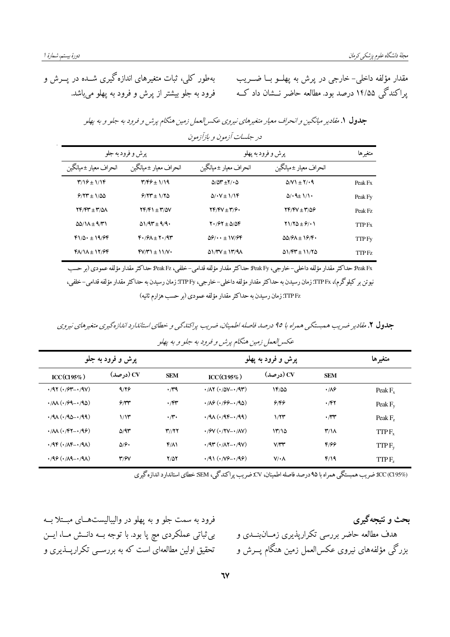بهطور کلی، ثبات متغیرهای اندازه گیری شــده در پـــرش و فرود به جلو بیشتر از پرش و فرود به پهلو میباشد.

مقدار مؤلفه داخلي- خارجي در يرش به يهلــو بـــا ضـــريب یراکندگی ۱۴/۵۵ درصد بود. مطالعه حاضر نــشان داد کــه

| -------                                                            |                                                                     |                                                 |                                                                |                          |  |  |  |
|--------------------------------------------------------------------|---------------------------------------------------------------------|-------------------------------------------------|----------------------------------------------------------------|--------------------------|--|--|--|
| پرش و فرود به جلو                                                  |                                                                     | پرش و فرود به پهلو                              |                                                                | متغيرها                  |  |  |  |
| انحراف معيار ±ميانگين                                              | انحراف معيار ±ميانگين                                               | انحراف معيار ±ميانگين                           | انحراف معيار ±ميانگين                                          |                          |  |  |  |
| $\frac{9}{2}$                                                      | $\mathbf{Y}/\mathbf{Y}\mathbf{Y} + \mathbf{1}/\mathbf{1}\mathbf{9}$ | $\Delta/\Delta t$ + $\Delta$ / $\Delta$         | $\Delta N$ + $\gamma$ + 9                                      | Peak Fx                  |  |  |  |
| $9/17 + 1/20$                                                      | $9/37 \pm 1/30$                                                     | $\Delta/\cdot V \pm 1/\sqrt{r}$                 | $\Delta/\cdot$ 9 $\pm$ 1/1.                                    | Peak Fy                  |  |  |  |
| 74/44 ± 4/5/                                                       | $YF/FY + Y'XY$                                                      | $YF/Y + Y/\mathcal{F}$                          | 74/47 ± 4/56                                                   | Peak Fz                  |  |  |  |
| $\Delta\Delta/\lambda \pm 9/\mu$                                   | $\Delta$ 1/9۳ ± 9/9.                                                | $Y \cdot 79Y + 270Y$                            | $Y1/Y\Delta + \frac{6}{2}$                                     | <b>TTP</b> <sub>Fx</sub> |  |  |  |
| $f1/\Delta_1 \pm 19.99$                                            | $F \cdot 79A + Y \cdot 79$                                          | $\Delta \mathcal{P}/\cdots \pm 1V/\mathcal{P}V$ | $\Delta\Delta/\mathcal{P}\Lambda \pm 1\mathcal{P}/\mathcal{F}$ | TTP Fy                   |  |  |  |
| $f$ $\Lambda$ $\Lambda$ $\pm$ $\Lambda$ $\gamma$ $\gamma$ $\gamma$ | $fV/Y$ $\pm$ 11/ $V$                                                | $\Delta$ 1/4 $V \pm 14/9$                       | $01/FY + 11/Y$                                                 | TTP Fz                   |  |  |  |

جدول ۱. مقادیر میانگین و انحراف معیار متغیرهای نیروی عکس العمل زمین هنگام پرش و فرود به جلو و به پهلو در جلسات آزمون و بازآزمون

Peak Fx حداكثر مقدار مؤلفه داخلي–خارجي، Peak Fyجــاكثر مقدار مؤلفه قدامي–خلفي، Peak Fzجـداكثر مقدار مؤلفه عمودي (بر حسب نیوتن بر کیلوگرم)، TTP Fx: زمان رسیدن به حداکثر مقدار مؤلفه داخلی–خارجی، TTP Fy: زمان رسیدن به حداکثر مقدار مؤلفه قدامی–خلفی، TTP Fz: زمان رسیدن به حداکثر مقدار مؤلفه عمودی (بر حسب هزارم ثانیه)

جدول ۲. مقادیر ضریب همبستگی همراه با ۹۵ درصد فاصله اطمینان، ضریب پراکندگی و خطای استاندارد اندازهگیری متغیرهای نیروی عکس العمل زمین هنگام پرش و فرود به جلو و به پهلو

| پرش و فرود به جلو                                                 |                         | پرش و فرود به پهلو |                                                                    |                      | متغيرها                 |                     |
|-------------------------------------------------------------------|-------------------------|--------------------|--------------------------------------------------------------------|----------------------|-------------------------|---------------------|
| ICC(CI 95%)                                                       | CV) (در صد)             | <b>SEM</b>         | ICC(C195%)                                                         | CV) (درصد)           | <b>SEM</b>              |                     |
| $\cdot$ /97 $(\cdot$ /97 - $\cdot$ /9 $V$ )                       | 9/19                    | $\cdot$ ra         | $\cdot$ / $\wedge$ Y $(\cdot/\Delta V - \cdot/9)$                  | 14/00                | $\cdot$ / $\lambda$ ۶   | Peak $F_{r}$        |
| $\cdot$ /M $(\cdot$ /99- $\cdot$ /96)                             | 9/11                    | $\cdot$ /۴۳        | $\cdot$ / $\sqrt{2}$ $(\cdot$ / $99 - \cdot$ /95)                  | 6/66                 | ۰/۴۲                    | Peak $F_v$          |
| $4/9$ ( $4/9$ ) $-4/9$                                            | 1/15                    | $\cdot \pi \cdot$  | $\cdot$ /9 $\wedge$ ( $\cdot$ /9۴- $\cdot$ /99)                    | 1/77                 | $\cdot \pi$             | Peak F <sub>z</sub> |
| $\cdot/\mathcal{M}(\cdot/\mathsf{FY}-\cdot/\mathsf{G}\mathsf{S})$ | $\Delta$ /9٣            | Y//YY              | $\cdot$ / $\gamma$ V $(\cdot$ / $\gamma$ V $ \cdot$ / $\Lambda$ V) | 17/10                | $\mathsf{r}/\mathsf{N}$ | $TTPF_{r}$          |
| $\cdot$ /9F $(\cdot/\Lambda F - \cdot/9\Lambda)$                  | $\Delta$ / $\hat{z}$    | $f/\lambda$        | $\cdot$ /9٣ $(\cdot/\Lambda$ Y $ \cdot$ /9V)                       | $V/\Upsilon\Upsilon$ | 8/99                    | $TTPF_{v}$          |
| $\cdot$ /9 $\circ$ ( $\cdot$ / $\wedge$ 9 $\cdots$ /9 $\wedge$ )  | $\mathbf{r}/\mathbf{r}$ | 7/57               | $\cdot$ /91 $(\cdot N9 - \cdot 99)$                                | $V/\cdot \Lambda$    | f/19                    | TTP <sub>F</sub>    |

No بروت به هستگی همراه با ۹۵ درصد فاصله اطمینان، CV.ضریب پراکندگی، SEM خطای استاندارد اندازهگیری استا

فرود به سمت جلو و به پهلو در والیبالیستهــای مبــتلا بــه بی ثباتی عملکردی مچ پا بود. با توجه بــه دانــش مــا، ایــن تحقیق اولین مطالعهای است که به بررســی تکرارپـــذیری و

بحث و نتیجهگیری هدف مطالعه حاضر بررسی تکرارپذیری زمــان.بنــدی و بزرگی مؤلفههای نیروی عکسالعمل زمین هنگام پــرش و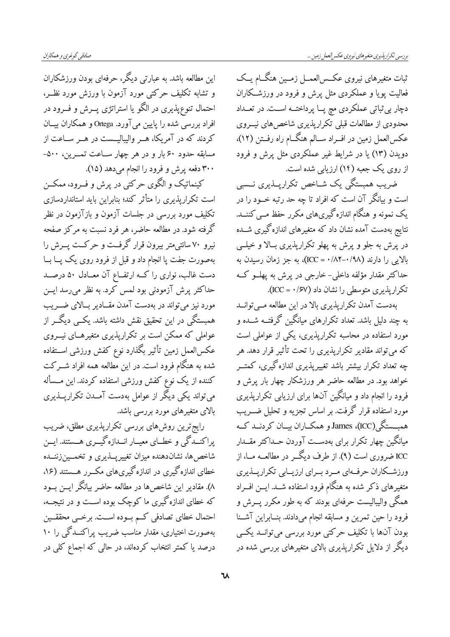این مطالعه باشد. به عبارتی دیگر، حرفهای بودن ورزشکاران و تشابه تکلیف حرکتی مورد آزمون با ورزش مورد نظـر، احتمال تنوع،پذیری در الگو یا استراتژی پــرش و فـــرود در افراد بررسی شده را پایین می آورد. Ortega و همکاران بیــان کردند که در آمریکا، هــر والیبالیــست در هــر ســاعت از مسابقه حدود ۶۰ بار و در هر چهار ســاعت تمــرين، ۵۰۰-۳۰۰ دفعه پرش و فرود را انجام میدهد (۱۵).

کینماتیک و الگوی حرکتی در پرش و فــرود، ممکــن است تکرارپذیری را متأثر کند؛ بنابراین باید استانداردسازی تکلیف مورد بررسی در جلسات آزمون و بازآزمون در نظر گرفته شود. در مطالعه حاضر، هر فرد نسبت به مرکز صفحه نیرو ۷۰ سانتی متر بیرون قرار گرفت و حرکت پسرش را بهصورت جفت یا انجام داد و قبل از فرود روی یک یــا بــا دست غالب، نواری را کــه ارتفــاع آن معــادل ۵۰ درصــد حداکثر پرش آزمودنی بود لمس کرد. به نظر میرسد ایــن مورد نیز میتواند در بهدست آمدن مقــادیر بــالای ضـــریب همبستگی در این تحقیق نقش داشته باشد. یکــی دیگــر از عواملی که ممکن است بر تکراریذیری متغیرهــای نیـــروی عكس|لعمل زمين تأثير بگذارد نوع كفش ورزشى اســتفاده شده به هنگام فرود است. در این مطالعه همه افراد شــرکت کننده از یک نوع کفش ورزشی استفاده کردند. این مــسأله میتواند یکی دیگر از عوامل بهدست آمــدن تکرارپـــذیری بالای متغیرهای مورد بررسی باشد.

رایج ترین روشهای بررسی تکراریذیری مطلق، ضریب پراکنــدگي و خطــاي معيــار انــدازهگيــري هـــستند. ايــن شاخصها، نشاندهنده میزان تغییرپـــذیری و تخمـــینزننـــده خطای اندازه گیری در اندازه گیریهای مکــرر هــستند (۱۶، ۸). مقادیر این شاخصها در مطالعه حاضر بیانگر ایــن بــود که خطای اندازهگیری ما کوچک بوده اســت و در نتیجــه، احتمال خطاي تصادفي كـم بـوده اســت. برخــي محققــين بهصورت اختیاری، مقدار مناسب ضریب پراکنــدگی را ۱۰ درصد یا کمتر انتخاب کردهاند، در حالی که اجماع کلی در ثبات متغيرهاي نيروي عكس العمــل زمــين هنگــام يــك فعالیت پویا و عملکردی مثل پرش و فرود در ورزشــکاران دچار بی ثباتی عملکردی مچ پــا پرداختــه اســت. در تعــداد محدودی از مطالعات قبلی تکرارپذیری شاخصهای نیسروی عکسالعمل زمین در افــراد ســالم هنگــام راه رفــتن (١٢)، دویدن (۱۳) یا در شرایط غیر عملکردی مثل پرش و فرود از روی یک جعبه (۱۴) ارزیابی شده است.

ضریب همبستگی یک شــاخص تکرارپــذیری نــسبی است و بیانگر آن است که افراد تا چه حد رتبه خــود را در یک نمونه و هنگام اندازه گیریهای مکرر حفظ مــی کننـــد. نتایج بهدست آمده نشان داد که متغیرهای اندازه گیری شــده در پرش به جلو و پرش به پهلو تکرارپذیری بـالا و خیلــی بالایی را دارند (۰/۸۸–۱۲۵۲) به جز زمان رسیدن به حداکثر مقدار مؤلفه داخلی- خارجی در پرش به پهلــو کــه تکرارپذیری متوسطی را نشان داد (۱/۶۷ = ICC).

بهدست آمدن تکرارپذیری بالا در این مطالعه مــیتوانــد به چند دلیل باشد. تعداد تکرارهای میانگین گرفتــه شــده و مورد استفاده در محاسبه تکراریذیری، یکی از عواملی است که میتواند مقادیر تکرارپذیری را تحت تأثیر قرار دهد. هر چه تعداد تکرار بیشتر باشد تغییرپذیری اندازه گیری، کمتـــر .<br>خواهد بود. در مطالعه حاضر هر ورزشکار چهار بار پرش و فرود را انجام داد و میانگین آنها برای ارزیابی تکرارپذیری مورد استفاده قرار گرفت. بر اساس تجزیه و تحلیل ضــریب همبسستگی(ICC)، James و همکساران بیسان کردنسد کــه میانگین چهار تکرار برای بهدسـت آوردن حــداکثر مقــدار ICC ضروری است (۹). از طرف دیگــر در مطالعــه مــا، از ورزشکاران حرفهای مرد برای ارزیبایی تکرارینذیری متغیرهای ذکر شده به هنگام فرود استفاده شــد. ایـــن افـــراد همگی والیبالیست حرفهای بودند که به طور مکرر پــرش و فرود را حين تمرين و مسابقه انجام مي دادند. بنسابراين آشنا بودن آنها با تکلیف حرکتی مورد بررسی میتوانــد یکــی دیگر از دلایل تکراریذیری بالای متغیرهای بررسی شده در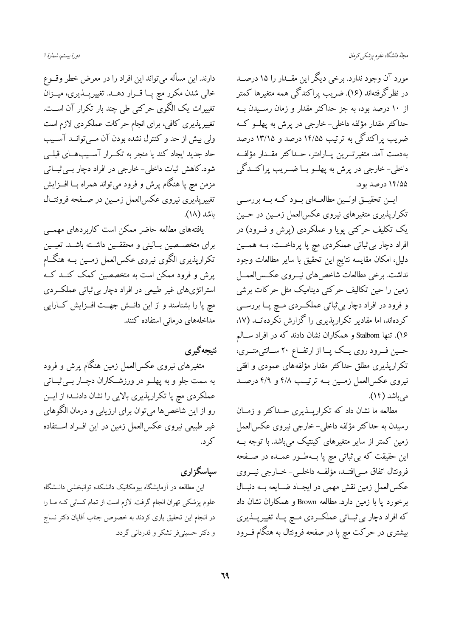مورد آن وجود ندارد. برخی دیگر این مقــدار را ۱۵ درصــد در نظرگرفتهاند (۱۶). ضریب پراکندگی همه متغیرها کمتر از ۱۰ درصد بود، به جز حداکثر مقدار و زمان رســیدن بــه حداکثر مقدار مؤلفه داخلی-خارجی در پرش به پهلــو کــه ضریب پراکندگی به ترتیب ۱۴/۵۵ درصد و ۱۳/۱۵ درصد بەدست آمد. متغیر تـــرین پـــارامتر، حـــداکثر مقـــدار مؤلفــه داخلي-خارجي در پرش به پهلــو بــا ضــريب پراکنــدگي ۱۴/۵۵ درصد بود.

ایسن تحقیـــق اولـــین مطالعـــهای بـــود کـــه بـــه بررســـی تکرارپذیری متغیرهای نیروی عکسالعمل زمــین در حــین یک تکلیف حرکتی پویا و عملکردی (پرش و فــرود) در افراد دچار بی ثباتی عملکردی مچ پا پرداخــت، بــه همـــین دليل، امكان مقايسه نتايج اين تحقيق با ساير مطالعات وجود نداشت. برخی مطالعات شاخص های نیسروی عکس العمــل زمین را حین تکالیف حرکتی دینامیک مثل حرکات برشی و فرود در افراد دچار بی ثباتی عملک ردی مسچ پــا بررســی کردهاند، اما مقادیر تکرارپذیری را گزارش نکردهانــد (۱۷، ۱۶). تنها Stalbom و همکاران نشان دادند که در افراد سـالم حــین فــرود روی یــک پــا از ارتفــاع ۲۰ ســانتی،تـــری، تکرارپذیری مطلق حداکثر مقدار مؤلفههای عمودی و افقی نیروی عکسالعمل زمـین بــه ترتیــب ۴/۸ و ۴/۹ درصــد می باشد (۱۴).

مطالعه ما نشان داد که تکرارپــذیری حــداکثر و زمــان رسیدن به حداکثر مؤلفه داخلی- خارجی نیروی عکسالعمل زمین کمتر از سایر متغیرهای کینتیک میباشد. با توجه بــه این حقیقت که بی ثباتی مچ پا بــهطــور عمــده در صــفحه فرونتال اتفاق مبي افتــد، مؤلفــه داخلــي- خــارجي نيــروي عکسالعمل زمین نقش مهمی در ایجـاد ضـایعه بــه دنبــال برخورد یا با زمین دارد. مطالعه Brown و همکاران نشان داد که افراد دچار بی ثبــاتی عملکــردی مــچ پــا، تغییرپــذیری بیشتری در حرکت مچ پا در صفحه فرونتال به هنگام فـــرود

دورهٔ بیستم، شمارهٔ ا

دارند. این مسأله می تواند این افراد را در معرض خطر وقسوع خالي شدن مكرر مچ پـا قــرار دهــد. تغييرپــذيري، ميــزان تغییرات یک الگوی حرکتی طی چند بار تکرار آن است. تغییرپذیری کافی، برای انجام حرکات عملکردی لازم است ولی بیش از حد و کنترل نشده بودن آن مـیتوانــد آســیب حاد جدید ایجاد کند یا منجر به تکــرار آســیبهــای قبلــی شود.کاهش ثبات داخلی- خارجی در افراد دچار بے ثبــاتی مزمن مچ پا هنگام پرش و فرود میتواند همراه بــا افــزايش تغييريذيري نيروى عكسالعمل زمـين در صـفحه فرونتــال ىاشد (١٨).

یافتههای مطالعه حاضر ممکن است کاربردهای مهمــی برای متخصـصین بـالینی و محققــین داشــته باشــد. تعیــین تکراریذیری الگوی نیروی عکسالعمل زمــین بــه هنگــام پرش و فرود ممکن است به متخصصین کمک کنــد کــه استراتژیهای غیر طبیعی در افراد دچار بی ثباتی عملک ردی مچ پا را بشناسند و از این دانــش جهــت افــزایش كــارایی مداخلههای درمانی استفاده کنند.

نتيجه گيري

متغیرهای نیروی عکسالعمل زمین هنگام پرش و فرود به سمت جلو و به پهلــو در ورزشــکاران دچــار بــيثبــاتي عملکردی مچ پا تکرارپذیری بالایی را نشان دادنــد؛ از ایــن رو از این شاخصها میتوان برای ارزیابی و درمان الگوهای غیر طبیعی نیروی عکسالعمل زمین در این افــراد اســتفاده کر د.

سیاسگزاری

این مطالعه در آزمایشگاه بیومکانیک دانشکده توانبخشی دانــشگاه علوم پزشکی تهران انجام گرفت. لازم است از تمام کسانی کـه مـا را در انجام این تحقیق یاری کردند به خصوص جناب آقایان دکتر نساج و دکتر حسینیفر تشکر و قدردانی گردد.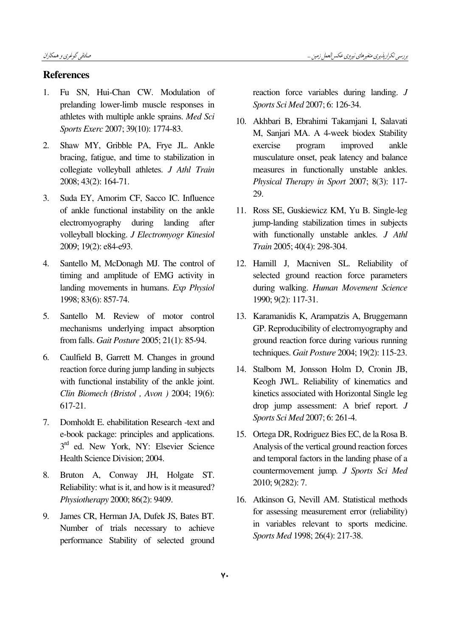## References

- 1. Fu SN, Hui-Chan CW. Modulation of prelanding lower-limb muscle responses in athletes with multiple ankle sprains. Med Sci Sports Exerc 2007; 39(10): 1774-83.
- 2. Shaw MY, Gribble PA, Frye JL. Ankle bracing, fatigue, and time to stabilization in collegiate volleyball athletes. J Athl Train 2008; 43(2): 164-71.
- 3. Suda EY, Amorim CF, Sacco IC. Influence of ankle functional instability on the ankle electromyography during landing after volleyball blocking. J Electromyogr Kinesiol 2009; 19(2): e84-e93.
- 4. Santello M, McDonagh MJ. The control of timing and amplitude of EMG activity in landing movements in humans. Exp Physiol 1998; 83(6): 857-74.
- 5. Santello M. Review of motor control mechanisms underlying impact absorption from falls. Gait Posture 2005; 21(1): 85-94.
- 6. Caulfield B, Garrett M. Changes in ground reaction force during jump landing in subjects with functional instability of the ankle joint. Clin Biomech (Bristol , Avon ) 2004; 19(6): 617-21.
- 7. Domholdt E. ehabilitation Research -text and e-book package: principles and applications. 3<sup>rd</sup> ed. New York, NY: Elsevier Science Health Science Division; 2004.
- 8. Bruton A, Conway JH, Holgate ST. Reliability: what is it, and how is it measured? Physiotherapy 2000; 86(2): 9409.
- 9. James CR, Herman JA, Dufek JS, Bates BT. Number of trials necessary to achieve performance Stability of selected ground

reaction force variables during landing. J Sports Sci Med 2007; 6: 126-34.

- 10. Akhbari B, Ebrahimi Takamjani I, Salavati M, Sanjari MA. A 4-week biodex Stability exercise program improved ankle musculature onset, peak latency and balance measures in functionally unstable ankles. Physical Therapy in Sport 2007; 8(3): 117- 29.
- 11. Ross SE, Guskiewicz KM, Yu B. Single-leg jump-landing stabilization times in subjects with functionally unstable ankles. J Athl Train 2005; 40(4): 298-304.
- 12. Hamill J, Macniven SL. Reliability of selected ground reaction force parameters during walking. Human Movement Science 1990; 9(2): 117-31.
- 13. Karamanidis K, Arampatzis A, Bruggemann GP. Reproducibility of electromyography and ground reaction force during various running techniques. Gait Posture 2004; 19(2): 115-23.
- 14. Stalbom M, Jonsson Holm D, Cronin JB, Keogh JWL. Reliability of kinematics and kinetics associated with Horizontal Single leg drop jump assessment: A brief report. J Sports Sci Med 2007; 6: 261-4.
- 15. Ortega DR, Rodriguez Bies EC, de la Rosa B. Analysis of the vertical ground reaction forces and temporal factors in the landing phase of a countermovement jump. J Sports Sci Med 2010; 9(282): 7.
- 16. Atkinson G, Nevill AM. Statistical methods for assessing measurement error (reliability) in variables relevant to sports medicine. Sports Med 1998; 26(4): 217-38.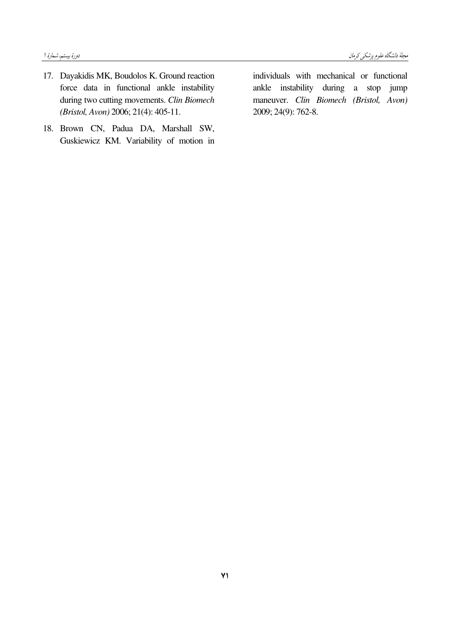- 17. Dayakidis MK, Boudolos K. Ground reaction force data in functional ankle instability during two cutting movements. Clin Biomech (Bristol, Avon) 2006; 21(4): 405-11.
- 18. Brown CN, Padua DA, Marshall SW, Guskiewicz KM. Variability of motion in

individuals with mechanical or functional ankle instability during a stop jump maneuver. Clin Biomech (Bristol, Avon) 2009; 24(9): 762-8.